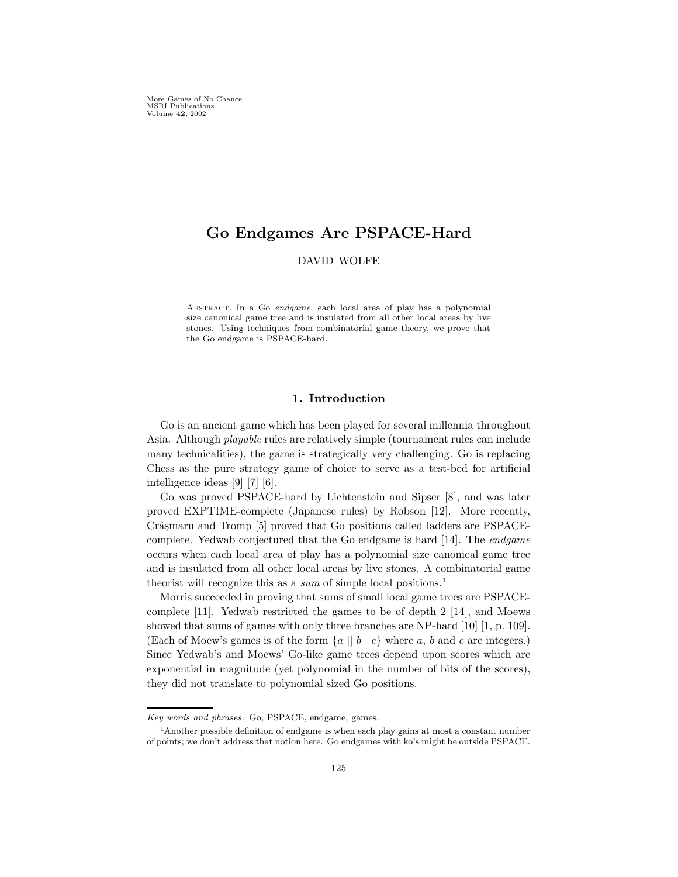More Games of No Chance MSRI Publications Volume 42, 2002

# Go Endgames Are PSPACE-Hard

DAVID WOLFE

Abstract. In a Go endgame, each local area of play has a polynomial size canonical game tree and is insulated from all other local areas by live stones. Using techniques from combinatorial game theory, we prove that the Go endgame is PSPACE-hard.

# 1. Introduction

Go is an ancient game which has been played for several millennia throughout Asia. Although playable rules are relatively simple (tournament rules can include many technicalities), the game is strategically very challenging. Go is replacing Chess as the pure strategy game of choice to serve as a test-bed for artificial intelligence ideas [9] [7] [6].

Go was proved PSPACE-hard by Lichtenstein and Sipser [8], and was later proved EXPTIME-complete (Japanese rules) by Robson [12]. More recently, Crâsmaru and Tromp [5] proved that Go positions called ladders are PSPACEcomplete. Yedwab conjectured that the Go endgame is hard [14]. The endgame occurs when each local area of play has a polynomial size canonical game tree and is insulated from all other local areas by live stones. A combinatorial game theorist will recognize this as a sum of simple local positions.<sup>1</sup>

Morris succeeded in proving that sums of small local game trees are PSPACEcomplete [11]. Yedwab restricted the games to be of depth 2 [14], and Moews showed that sums of games with only three branches are NP-hard [10] [1, p. 109]. (Each of Moew's games is of the form  $\{a \mid b \mid c\}$  where a, b and c are integers.) Since Yedwab's and Moews' Go-like game trees depend upon scores which are exponential in magnitude (yet polynomial in the number of bits of the scores), they did not translate to polynomial sized Go positions.

Key words and phrases. Go, PSPACE, endgame, games.

<sup>&</sup>lt;sup>1</sup>Another possible definition of endgame is when each play gains at most a constant number of points; we don't address that notion here. Go endgames with ko's might be outside PSPACE.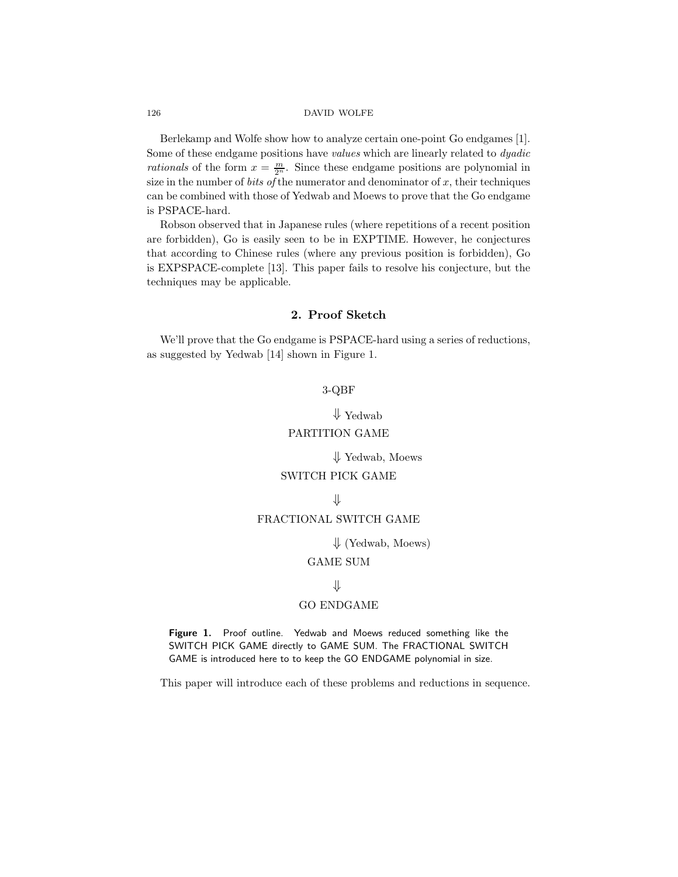#### 126 DAVID WOLFE

Berlekamp and Wolfe show how to analyze certain one-point Go endgames [1]. Some of these endgame positions have values which are linearly related to *dyadic* rationals of the form  $x = \frac{m}{2^n}$ . Since these endgame positions are polynomial in size in the number of *bits of* the numerator and denominator of  $x$ , their techniques can be combined with those of Yedwab and Moews to prove that the Go endgame is PSPACE-hard.

Robson observed that in Japanese rules (where repetitions of a recent position are forbidden), Go is easily seen to be in EXPTIME. However, he conjectures that according to Chinese rules (where any previous position is forbidden), Go is EXPSPACE-complete [13]. This paper fails to resolve his conjecture, but the techniques may be applicable.

# 2. Proof Sketch

We'll prove that the Go endgame is PSPACE-hard using a series of reductions, as suggested by Yedwab [14] shown in Figure 1.

# 3-QBF

⇓ Yedwab PARTITION GAME

⇓ Yedwab, Moews

### SWITCH PICK GAME

⇓

# FRACTIONAL SWITCH GAME

 $\downarrow$  (Yedwab, Moews)

# GAME SUM

### ⇓

#### GO ENDGAME

Figure 1. Proof outline. Yedwab and Moews reduced something like the SWITCH PICK GAME directly to GAME SUM. The FRACTIONAL SWITCH GAME is introduced here to to keep the GO ENDGAME polynomial in size.

This paper will introduce each of these problems and reductions in sequence.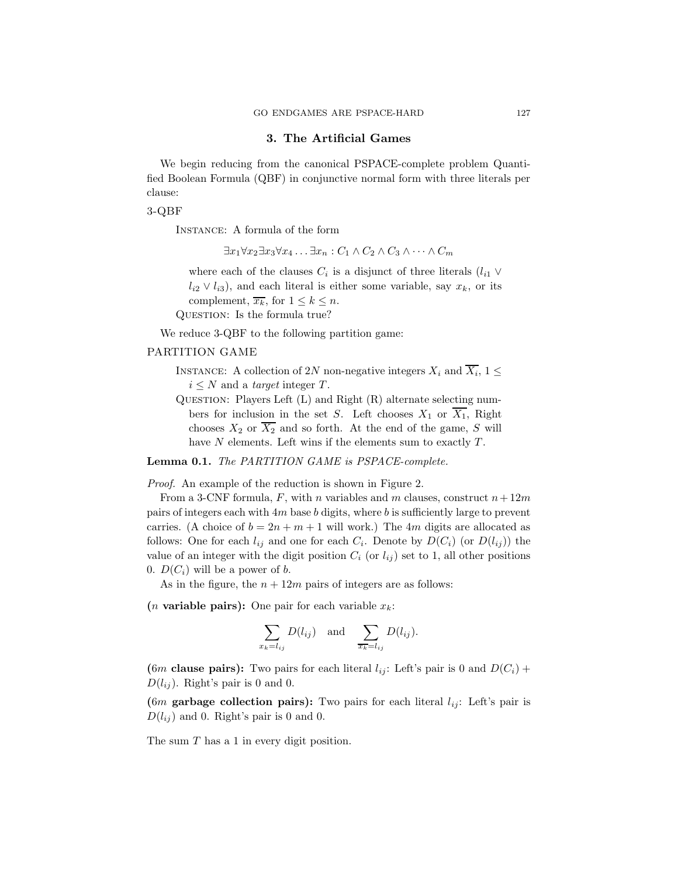### 3. The Artificial Games

We begin reducing from the canonical PSPACE-complete problem Quantified Boolean Formula (QBF) in conjunctive normal form with three literals per clause:

#### 3-QBF

Instance: A formula of the form

 $\exists x_1 \forall x_2 \exists x_3 \forall x_4 \ldots \exists x_n : C_1 \wedge C_2 \wedge C_3 \wedge \cdots \wedge C_m$ 

where each of the clauses  $C_i$  is a disjunct of three literals  $(l_{i1} \vee$  $l_{i2} \vee l_{i3}$ , and each literal is either some variable, say  $x_k$ , or its complement,  $\overline{x_k}$ , for  $1 \leq k \leq n$ . QUESTION: Is the formula true?

We reduce 3-QBF to the following partition game:

### PARTITION GAME

INSTANCE: A collection of 2N non-negative integers  $X_i$  and  $\overline{X_i}$ ,  $1 \leq$  $i \leq N$  and a target integer T.

QUESTION: Players Left  $(L)$  and Right  $(R)$  alternate selecting numbers for inclusion in the set S. Left chooses  $X_1$  or  $\overline{X_1}$ , Right chooses  $X_2$  or  $\overline{X_2}$  and so forth. At the end of the game, S will have  $N$  elements. Left wins if the elements sum to exactly  $T$ .

Lemma 0.1. The PARTITION GAME is PSPACE-complete.

Proof. An example of the reduction is shown in Figure 2.

From a 3-CNF formula, F, with n variables and m clauses, construct  $n+12m$ pairs of integers each with  $4m$  base b digits, where b is sufficiently large to prevent carries. (A choice of  $b = 2n + m + 1$  will work.) The 4m digits are allocated as follows: One for each  $l_{ij}$  and one for each  $C_i$ . Denote by  $D(C_i)$  (or  $D(l_{ij})$ ) the value of an integer with the digit position  $C_i$  (or  $l_{ij}$ ) set to 1, all other positions 0.  $D(C_i)$  will be a power of b.

As in the figure, the  $n + 12m$  pairs of integers are as follows:

(*n* variable pairs): One pair for each variable  $x_k$ :

$$
\sum_{x_k=l_{ij}} D(l_{ij}) \text{ and } \sum_{\overline{x_k}=l_{ij}} D(l_{ij}).
$$

(6m clause pairs): Two pairs for each literal  $l_{ij}$ : Left's pair is 0 and  $D(C_i)$  +  $D(l_{ij})$ . Right's pair is 0 and 0.

(6m garbage collection pairs): Two pairs for each literal  $l_{ij}$ : Left's pair is  $D(l_{ij})$  and 0. Right's pair is 0 and 0.

The sum T has a 1 in every digit position.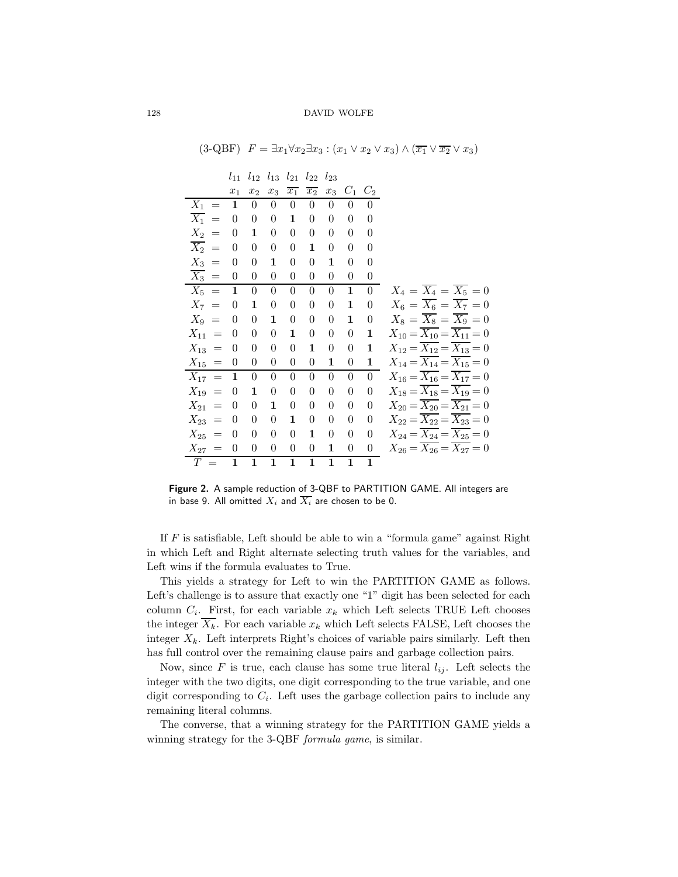|                         | $l_{11}$         | $l_{12}$         |                  | $l_{13}$ $l_{21}$ | $l_{22}$ $l_{23}$ |                  |                  |                  |                                                      |
|-------------------------|------------------|------------------|------------------|-------------------|-------------------|------------------|------------------|------------------|------------------------------------------------------|
|                         | $x_1$            | $x_2$            | $x_3$            | $\overline{x_1}$  | $x_2$             | $x_3$            | $C_1$ $C_2$      |                  |                                                      |
| $X_1 =$                 | $\mathbf{1}$     | $\boldsymbol{0}$ | $\overline{0}$   | $\theta$          | $\boldsymbol{0}$  | $\overline{0}$   | 0                | 0                |                                                      |
| $\overline{X}_1$<br>$=$ | $\theta$         | $\theta$         | $\theta$         | 1                 | $\theta$          | $\theta$         | $\theta$         | $\theta$         |                                                      |
| $X_2$<br>$=$            | $\theta$         | 1                | $\theta$         | $\theta$          | $\overline{0}$    | 0                | 0                | $\theta$         |                                                      |
| $\overline{X_2}$ =      | $\theta$         | $\theta$         | $\boldsymbol{0}$ | $\theta$          | 1                 | $\boldsymbol{0}$ | 0                | $\theta$         |                                                      |
| $X_3 =$                 | $\theta$         | $\theta$         | 1                | $\theta$          | $\theta$          | 1                | $\theta$         | $\theta$         |                                                      |
| $\overline{X_3}$ =      | $\boldsymbol{0}$ | $\boldsymbol{0}$ | $\boldsymbol{0}$ | 0                 | $\boldsymbol{0}$  | $\boldsymbol{0}$ | $\boldsymbol{0}$ | $\boldsymbol{0}$ |                                                      |
| $X_5 =$                 | $\mathbf{1}$     | $\overline{0}$   | $\theta$         | $\theta$          | $\theta$          | $\overline{0}$   | $\mathbf 1$      | $\theta$         | $X_4 = \overline{X_4} = \overline{X_5} = 0$          |
| $X_7 =$                 | $\boldsymbol{0}$ | 1                | $\boldsymbol{0}$ | 0                 | 0                 | $\boldsymbol{0}$ | 1                | $\theta$         | $X_6 = \overline{X_6} = \overline{X_7} = 0$          |
| $X_9 =$                 | $\theta$         | $\theta$         | 1                | $\boldsymbol{0}$  | $\theta$          | $\boldsymbol{0}$ | 1                | $\theta$         | $X_8 = \overline{X_8} = \overline{X_9} = 0$          |
| $X_{11} =$              | $\Omega$         | $\boldsymbol{0}$ | $\boldsymbol{0}$ | 1                 | $\theta$          | $\boldsymbol{0}$ | 0                | 1                | $X_{10} = \overline{X_{10}} = \overline{X_{11}} = 0$ |
| $X_{13}$<br>$\equiv$    | $\theta$         | $\theta$         | $\theta$         | $\theta$          | 1                 | $\boldsymbol{0}$ | $\overline{0}$   | 1                | $X_{12} = \overline{X_{12}} = \overline{X_{13}} = 0$ |
| $X_{15} =$              | $\theta$         | 0                | $\theta$         | $\theta$          | $\theta$          | 1                | 0                | 1                | $X_{14} = \overline{X_{14}} = \overline{X_{15}} = 0$ |
| $X_{17} =$              | $\mathbf{1}$     | $\boldsymbol{0}$ | $\boldsymbol{0}$ | $\boldsymbol{0}$  | $\boldsymbol{0}$  | $\boldsymbol{0}$ | 0                | $\overline{0}$   | $X_{16} = \overline{X_{16}} = \overline{X_{17}} = 0$ |
| $X_{19} =$              | $\theta$         | 1                | $\boldsymbol{0}$ | $\boldsymbol{0}$  | 0                 | $\boldsymbol{0}$ | $\overline{0}$   | $\theta$         | $X_{18} = \overline{X_{18}} = \overline{X_{19}} = 0$ |
| $X_{21} =$              | $\theta$         | $\theta$         | 1                | 0                 | $\theta$          | $\theta$         | $\theta$         | $\theta$         | $X_{20} = \overline{X_{20}} = \overline{X_{21}} = 0$ |
| $X_{23}$<br>$\equiv$    | $\theta$         | $\theta$         | $\theta$         | 1                 | $\theta$          | 0                | $\overline{0}$   | 0                | $X_{22} = \overline{X_{22}} = \overline{X_{23}} = 0$ |
| $X_{25} =$              | $\theta$         | $\theta$         | $\theta$         | 0                 | 1                 | $\theta$         | 0                | $\theta$         | $X_{24} = \overline{X_{24}} = \overline{X_{25}} = 0$ |
| $X_{27} = 0$            |                  | $\overline{0}$   | $\boldsymbol{0}$ | $\boldsymbol{0}$  | $\boldsymbol{0}$  | 1                | 0                | $\boldsymbol{0}$ | $X_{26} = \overline{X_{26}} = \overline{X_{27}} = 0$ |
| $T =$                   | 1                | $\mathbf{1}$     | $\mathbf{1}$     | 1                 | $\mathbf{1}$      | $\mathbf{1}$     | $\mathbf 1$      | $\mathbf{1}$     |                                                      |

 $(3\text{-}QBF)$   $F = \exists x_1 \forall x_2 \exists x_3 : (x_1 \lor x_2 \lor x_3) \land (\overline{x_1} \lor \overline{x_2} \lor x_3)$ 

Figure 2. A sample reduction of 3-QBF to PARTITION GAME. All integers are in base 9. All omitted  $X_i$  and  $\overline{X_i}$  are chosen to be 0.

If  $F$  is satisfiable, Left should be able to win a "formula game" against Right in which Left and Right alternate selecting truth values for the variables, and Left wins if the formula evaluates to True.

This yields a strategy for Left to win the PARTITION GAME as follows. Left's challenge is to assure that exactly one "1" digit has been selected for each column  $C_i$ . First, for each variable  $x_k$  which Left selects TRUE Left chooses the integer  $\overline{X_k}$ . For each variable  $x_k$  which Left selects FALSE, Left chooses the integer  $X_k$ . Left interprets Right's choices of variable pairs similarly. Left then has full control over the remaining clause pairs and garbage collection pairs.

Now, since F is true, each clause has some true literal  $l_{ij}$ . Left selects the integer with the two digits, one digit corresponding to the true variable, and one digit corresponding to  $C_i$ . Left uses the garbage collection pairs to include any remaining literal columns.

The converse, that a winning strategy for the PARTITION GAME yields a winning strategy for the 3-QBF *formula game*, is similar.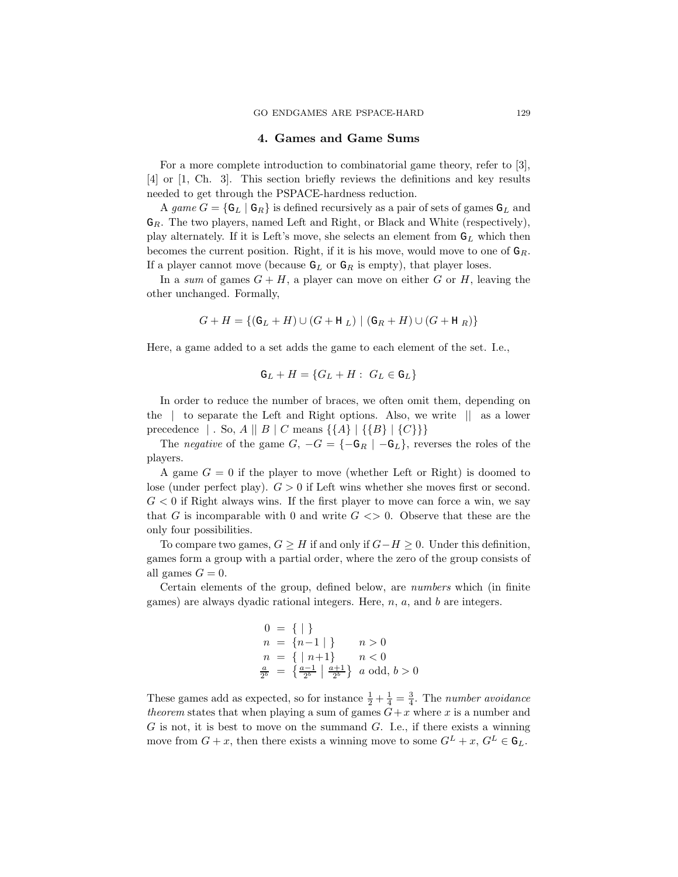# 4. Games and Game Sums

For a more complete introduction to combinatorial game theory, refer to [3], [4] or [1, Ch. 3]. This section briefly reviews the definitions and key results needed to get through the PSPACE-hardness reduction.

A game  $G = \{ \mathsf{G}_L \mid \mathsf{G}_R \}$  is defined recursively as a pair of sets of games  $\mathsf{G}_L$  and  $G_R$ . The two players, named Left and Right, or Black and White (respectively), play alternately. If it is Left's move, she selects an element from  $G_L$  which then becomes the current position. Right, if it is his move, would move to one of  $G_R$ . If a player cannot move (because  $G_L$  or  $G_R$  is empty), that player loses.

In a sum of games  $G + H$ , a player can move on either G or H, leaving the other unchanged. Formally,

$$
G + H = \{ (G_L + H) \cup (G + H_L) \mid (G_R + H) \cup (G + H_R) \}
$$

Here, a game added to a set adds the game to each element of the set. I.e.,

$$
\mathsf{G}_L + H = \{ G_L + H : G_L \in \mathsf{G}_L \}
$$

In order to reduce the number of braces, we often omit them, depending on the | to separate the Left and Right options. Also, we write || as a lower precedence | . So,  $A \parallel B \parallel C$  means  $\{\{A\} \mid \{\{B\} \mid \{C\}\}\}\$ 

The negative of the game  $G, -G = \{-\mathsf{G}_R \mid -\mathsf{G}_L\}$ , reverses the roles of the players.

A game  $G = 0$  if the player to move (whether Left or Right) is doomed to lose (under perfect play).  $G > 0$  if Left wins whether she moves first or second.  $G < 0$  if Right always wins. If the first player to move can force a win, we say that G is incomparable with 0 and write  $G \ll 0$ . Observe that these are the only four possibilities.

To compare two games,  $G \geq H$  if and only if  $G-H \geq 0$ . Under this definition, games form a group with a partial order, where the zero of the group consists of all games  $G = 0$ .

Certain elements of the group, defined below, are numbers which (in finite games) are always dyadic rational integers. Here,  $n$ ,  $a$ , and  $b$  are integers.

$$
0 = \{ | \}
$$
  
\n
$$
n = \{ n-1 | \} \qquad n > 0
$$
  
\n
$$
n = \{ | n+1 \} \qquad n < 0
$$
  
\n
$$
\frac{a}{2^{b}} = \{ \frac{a-1}{2^{b}} | \frac{a+1}{2^{b}} \} \qquad a \text{ odd}, \, b > 0
$$

These games add as expected, so for instance  $\frac{1}{2} + \frac{1}{4} = \frac{3}{4}$ . The number avoidance theorem states that when playing a sum of games  $G+x$  where x is a number and  $G$  is not, it is best to move on the summand  $G$ . I.e., if there exists a winning move from  $G + x$ , then there exists a winning move to some  $G^L + x$ ,  $G^L \in \mathsf{G}_L$ .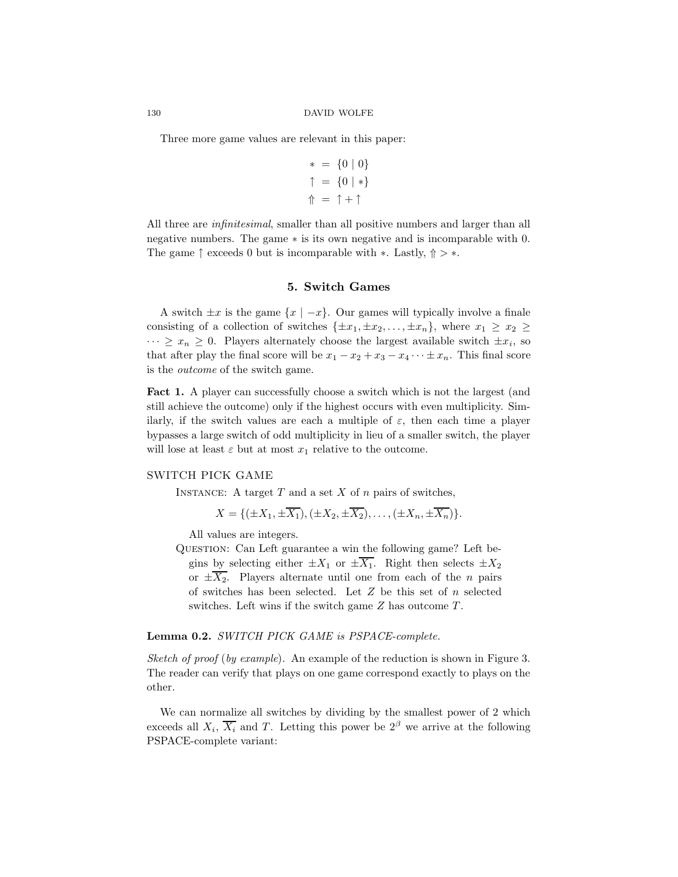Three more game values are relevant in this paper:

$$
\ast = \{0 \mid 0\}
$$

$$
\uparrow = \{0 \mid \ast\}
$$

$$
\uparrow = \uparrow + \uparrow
$$

All three are *infinitesimal*, smaller than all positive numbers and larger than all negative numbers. The game ∗ is its own negative and is incomparable with 0. The game  $\uparrow$  exceeds 0 but is incomparable with  $*$ . Lastly,  $\uparrow$  >  $*$ .

# 5. Switch Games

A switch  $\pm x$  is the game  $\{x \mid -x\}$ . Our games will typically involve a finale consisting of a collection of switches  $\{\pm x_1, \pm x_2, \ldots, \pm x_n\}$ , where  $x_1 \geq x_2 \geq$  $\cdots \geq x_n \geq 0$ . Players alternately choose the largest available switch  $\pm x_i$ , so that after play the final score will be  $x_1 - x_2 + x_3 - x_4 \cdots \pm x_n$ . This final score is the outcome of the switch game.

Fact 1. A player can successfully choose a switch which is not the largest (and still achieve the outcome) only if the highest occurs with even multiplicity. Similarly, if the switch values are each a multiple of  $\varepsilon$ , then each time a player bypasses a large switch of odd multiplicity in lieu of a smaller switch, the player will lose at least  $\varepsilon$  but at most  $x_1$  relative to the outcome.

### SWITCH PICK GAME

INSTANCE: A target  $T$  and a set  $X$  of  $n$  pairs of switches,

$$
X = \{ (\pm X_1, \pm \overline{X_1}), (\pm X_2, \pm \overline{X_2}), \dots, (\pm X_n, \pm \overline{X_n}) \}.
$$

All values are integers.

QUESTION: Can Left guarantee a win the following game? Left begins by selecting either  $\pm X_1$  or  $\pm \overline{X_1}$ . Right then selects  $\pm X_2$ or  $\pm \overline{X_2}$ . Players alternate until one from each of the *n* pairs of switches has been selected. Let  $Z$  be this set of  $n$  selected switches. Left wins if the switch game Z has outcome T.

#### Lemma 0.2. SWITCH PICK GAME is PSPACE-complete.

Sketch of proof (by example). An example of the reduction is shown in Figure 3. The reader can verify that plays on one game correspond exactly to plays on the other.

We can normalize all switches by dividing by the smallest power of 2 which exceeds all  $X_i$ ,  $\overline{X_i}$  and T. Letting this power be  $2^{\beta}$  we arrive at the following PSPACE-complete variant: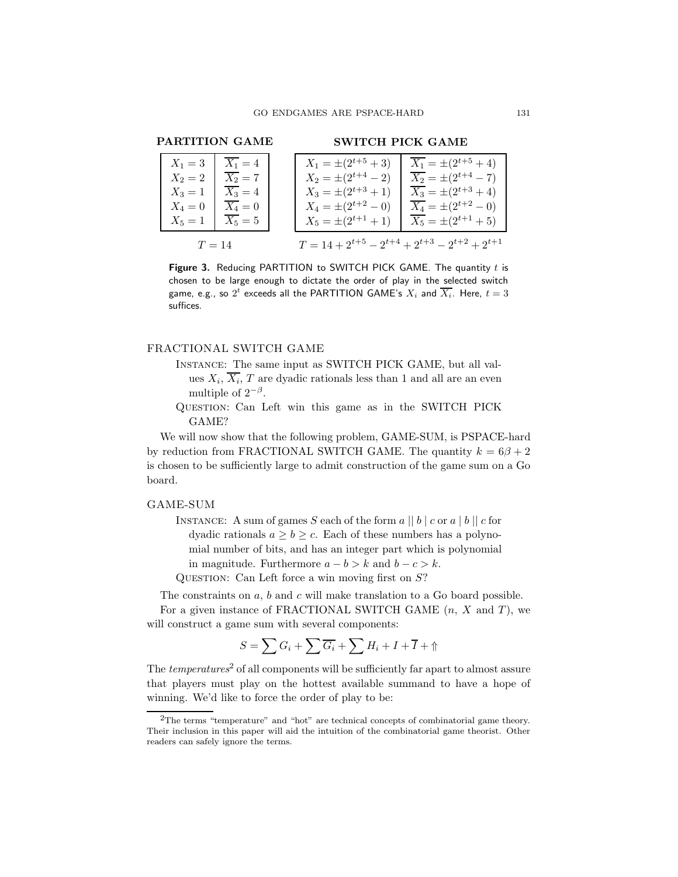### PARTITION GAME

#### SWITCH PICK GAME

| $X_1=3$   | $X_1 = 4$ | $X_1 = \pm (2^{t+5} + 3)$ | $X_1 = \pm (2^{t+5} + 4)$                                  |
|-----------|-----------|---------------------------|------------------------------------------------------------|
| $X_2=2$   | $X_2=7$   | $X_2 = \pm (2^{t+4} - 2)$ | $\overline{X_2} = \pm (2^{t+4} - 7)$                       |
| $X_3 = 1$ | $X_3 = 4$ | $X_3 = \pm (2^{t+3} + 1)$ | $\overline{X_3} = \pm (2^{t+3} + 4)$                       |
| $X_4 = 0$ | $X_4=0$   | $X_4 = \pm (2^{t+2} - 0)$ | $X_4 = \pm (2^{t+2} - 0)$                                  |
| $X_5=1$   | $X_5=5$   | $X_5 = \pm (2^{t+1} + 1)$ | $\overline{X_5} = \pm (2^{t+1} + 5)$                       |
| $T=14$    |           |                           | $T = 14 + 2^{t+5} - 2^{t+4} + 2^{t+3} - 2^{t+2} + 2^{t+1}$ |

Figure 3. Reducing PARTITION to SWITCH PICK GAME. The quantity  $t$  is chosen to be large enough to dictate the order of play in the selected switch game, e.g., so  $2^t$  exceeds all the PARTITION GAME's  $X_i$  and  $\overline{X_i}.$  Here,  $t=3$ suffices.

# FRACTIONAL SWITCH GAME

- Instance: The same input as SWITCH PICK GAME, but all values  $X_i$ ,  $\overline{X_i}$ ,  $T$  are dyadic rationals less than 1 and all are an even multiple of  $2^{-\beta}$ .
- Question: Can Left win this game as in the SWITCH PICK GAME?

We will now show that the following problem, GAME-SUM, is PSPACE-hard by reduction from FRACTIONAL SWITCH GAME. The quantity  $k = 6\beta + 2$ is chosen to be sufficiently large to admit construction of the game sum on a Go board.

#### GAME-SUM

INSTANCE: A sum of games S each of the form  $a \parallel b \parallel c$  or  $a \parallel b \parallel c$  for dyadic rationals  $a \ge b \ge c$ . Each of these numbers has a polynomial number of bits, and has an integer part which is polynomial in magnitude. Furthermore  $a - b > k$  and  $b - c > k$ .

QUESTION: Can Left force a win moving first on  $S$ ?

The constraints on a, b and c will make translation to a Go board possible.

For a given instance of FRACTIONAL SWITCH GAME  $(n, X \text{ and } T)$ , we will construct a game sum with several components:

$$
S = \sum G_i + \sum \overline{G_i} + \sum H_i + I + \overline{I} + \Uparrow
$$

The  $temperatures^2$  of all components will be sufficiently far apart to almost assure that players must play on the hottest available summand to have a hope of winning. We'd like to force the order of play to be:

 ${}^{2}$ The terms "temperature" and "hot" are technical concepts of combinatorial game theory. Their inclusion in this paper will aid the intuition of the combinatorial game theorist. Other readers can safely ignore the terms.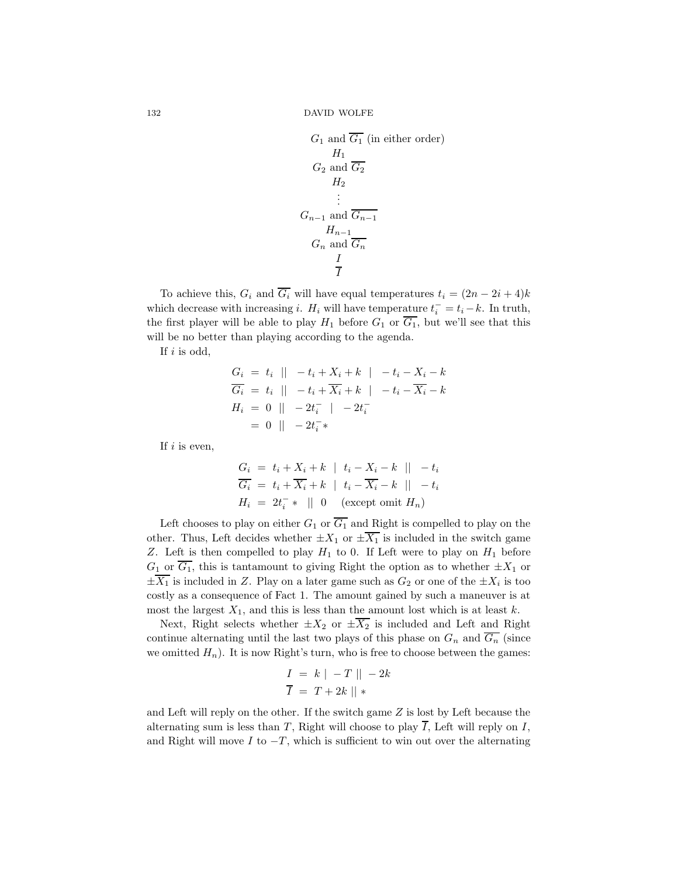132 DAVID WOLFE

$$
G_1 \text{ and } \overline{G_1} \text{ (in either order)}
$$
\n
$$
H_1
$$
\n
$$
G_2 \text{ and } \overline{G_2}
$$
\n
$$
H_2
$$
\n
$$
\vdots
$$
\n
$$
G_{n-1} \text{ and } \overline{G_{n-1}}
$$
\n
$$
H_{n-1}
$$
\n
$$
H_{n-1}
$$
\n
$$
G_n \text{ and } \overline{G_n}
$$
\n
$$
\frac{I}{I}
$$

To achieve this,  $G_i$  and  $\overline{G_i}$  will have equal temperatures  $t_i = (2n - 2i + 4)k$ which decrease with increasing *i*.  $H_i$  will have temperature  $t_i^- = t_i - k$ . In truth, the first player will be able to play  $H_1$  before  $G_1$  or  $\overline{G_1}$ , but we'll see that this will be no better than playing according to the agenda.

If  $i$  is odd,

$$
G_i = t_i || -t_i + X_i + k | -t_i - X_i - k
$$
  
\n
$$
\overline{G_i} = t_i || -t_i + \overline{X_i} + k | -t_i - \overline{X_i} - k
$$
  
\n
$$
H_i = 0 || -2t_i^- | -2t_i^-
$$
  
\n
$$
= 0 || -2t_i^- *
$$

If  $i$  is even,

$$
G_i = t_i + X_i + k \mid t_i - X_i - k \mid -t_i
$$
  
\n
$$
\overline{G_i} = t_i + \overline{X_i} + k \mid t_i - \overline{X_i} - k \mid -t_i
$$
  
\n
$$
H_i = 2t_i^{-*} \mid 0 \quad \text{(except omit } H_n)
$$

Left chooses to play on either  $G_1$  or  $\overline{G_1}$  and Right is compelled to play on the other. Thus, Left decides whether  $\pm X_1$  or  $\pm \overline{X_1}$  is included in the switch game Z. Left is then compelled to play  $H_1$  to 0. If Left were to play on  $H_1$  before  $G_1$  or  $\overline{G_1}$ , this is tantamount to giving Right the option as to whether  $\pm X_1$  or  $\pm X_1$  is included in Z. Play on a later game such as  $G_2$  or one of the  $\pm X_i$  is too costly as a consequence of Fact 1. The amount gained by such a maneuver is at most the largest  $X_1$ , and this is less than the amount lost which is at least k.

Next, Right selects whether  $\pm X_2$  or  $\pm \overline{X_2}$  is included and Left and Right continue alternating until the last two plays of this phase on  $G_n$  and  $\overline{G_n}$  (since we omitted  $H_n$ ). It is now Right's turn, who is free to choose between the games:

$$
I = k \mid -T \mid -2k
$$

$$
\overline{I} = T + 2k \mid \mid *
$$

and Left will reply on the other. If the switch game Z is lost by Left because the alternating sum is less than T, Right will choose to play  $\overline{I}$ , Left will reply on I, and Right will move I to  $-T$ , which is sufficient to win out over the alternating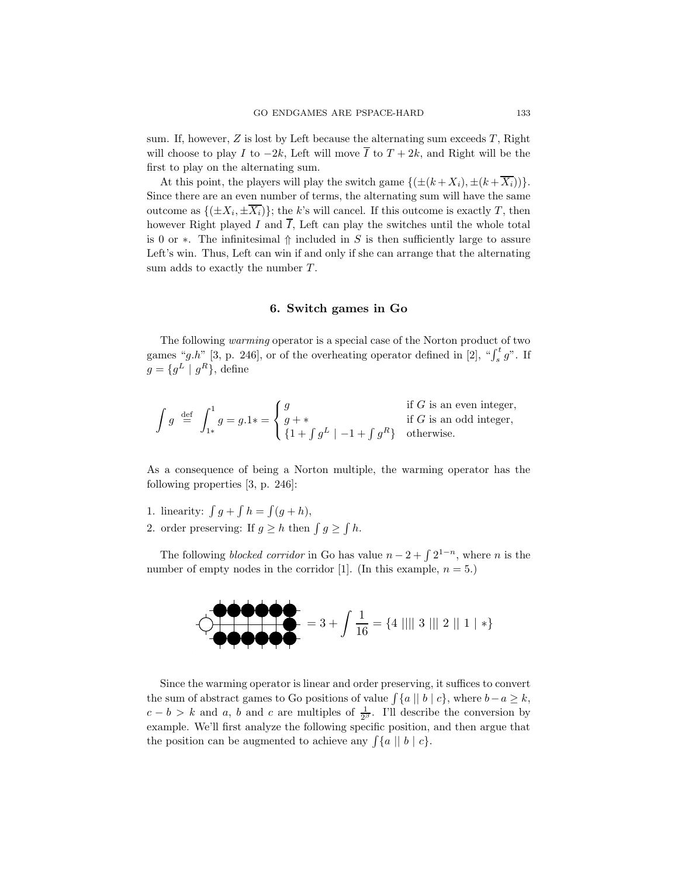sum. If, however,  $Z$  is lost by Left because the alternating sum exceeds  $T$ , Right will choose to play I to  $-2k$ , Left will move  $\overline{I}$  to  $T + 2k$ , and Right will be the first to play on the alternating sum.

At this point, the players will play the switch game  $\{(\pm (k + X_i), \pm (k + \overline{X_i}))\}.$ Since there are an even number of terms, the alternating sum will have the same outcome as  $\{(\pm X_i, \pm \overline{X_i})\}$ ; the k's will cancel. If this outcome is exactly T, then however Right played I and  $\overline{I}$ , Left can play the switches until the whole total is 0 or  $\ast$ . The infinitesimal  $\Uparrow$  included in S is then sufficiently large to assure Left's win. Thus, Left can win if and only if she can arrange that the alternating sum adds to exactly the number T.

### 6. Switch games in Go

The following warming operator is a special case of the Norton product of two games "g.h" [3, p. 246], or of the overheating operator defined in [2], " $\int_s^t g$ ". If  $g = \{g^L \mid g^R\},\$ define

$$
\int g \stackrel{\text{def}}{=} \int_{1*}^{1} g = g.1* = \begin{cases} g & \text{if } G \text{ is an even integer,} \\ g + * & \text{if } G \text{ is an odd integer,} \\ \{1 + \int g^L | -1 + \int g^R \} & \text{otherwise.} \end{cases}
$$

As a consequence of being a Norton multiple, the warming operator has the following properties [3, p. 246]:

- 1. linearity:  $\int g + \int h = \int (g + h),$
- 2. order preserving: If  $g \geq h$  then  $\int g \geq \int h$ .

The following *blocked corridor* in Go has value  $n-2+\int 2^{1-n}$ , where *n* is the number of empty nodes in the corridor [1]. (In this example,  $n = 5$ .)

$$
\begin{array}{c}\n\bullet \bullet \bullet \bullet \bullet \bullet \\
\hline\n\bullet \bullet \bullet \bullet \bullet\n\end{array}
$$
\n
$$
= 3 + \int \frac{1}{16} = \{4 \mid ||| \quad 3 \mid || \quad 2 \mid || \quad 1 \mid * \}
$$

Since the warming operator is linear and order preserving, it suffices to convert the sum of abstract games to Go positions of value  $\int \{a | |b| | c\}$ , where  $b-a \geq k$ ,  $c - b > k$  and a, b and c are multiples of  $\frac{1}{2^{3}}$ . I'll describe the conversion by example. We'll first analyze the following specific position, and then argue that the position can be augmented to achieve any  $\int \{a \mid b \mid c\}.$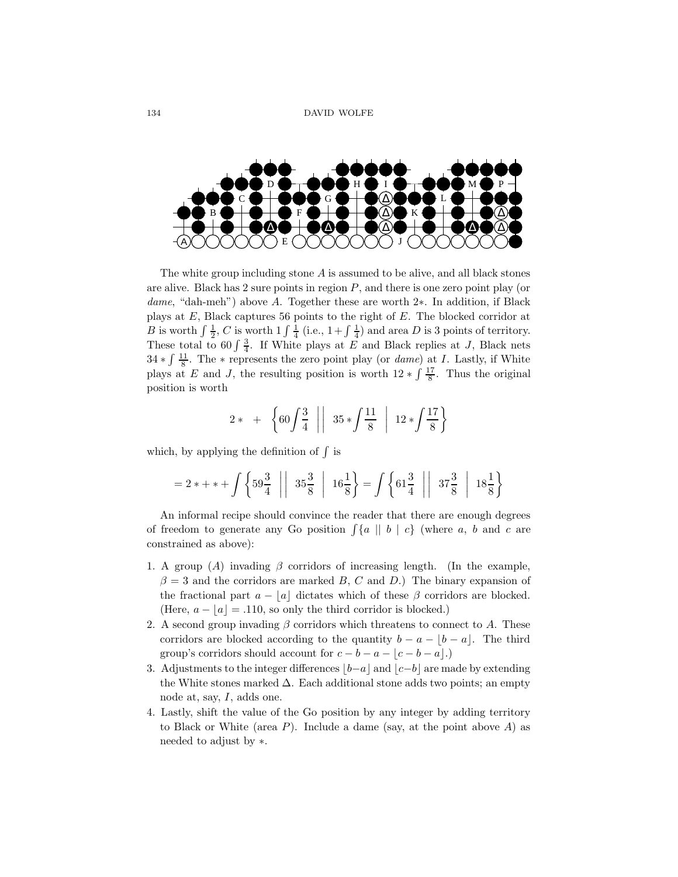

The white group including stone  $A$  is assumed to be alive, and all black stones are alive. Black has  $2$  sure points in region  $P$ , and there is one zero point play (or dame, "dah-meh") above A. Together these are worth 2∗. In addition, if Black plays at E, Black captures 56 points to the right of E. The blocked corridor at B is worth  $\int \frac{1}{2}$ , C is worth  $1 \int \frac{1}{4}$  (i.e.,  $1 + \int \frac{1}{4}$ ) and area D is 3 points of territory. These total to 60  $\int \frac{3}{4}$ . If White plays at E and Black replies at J, Black nets  $34 * \int \frac{11}{8}$ . The \* represents the zero point play (or *dame*) at *I*. Lastly, if White plays at E and J, the resulting position is worth  $12 * \int \frac{17}{8}$ . Thus the original position is worth

$$
2* + \left\{60\int\frac{3}{4} \mid \mid 35*\int\frac{11}{8} \mid 12*\int\frac{17}{8}\right\}
$$

which, by applying the definition of  $\int$  is

$$
= 2*+* + \int \left\{59\frac{3}{4} \mid \mid 35\frac{3}{8} \mid 16\frac{1}{8} \right\} = \int \left\{61\frac{3}{4} \mid \mid 37\frac{3}{8} \mid 18\frac{1}{8} \right\}
$$

An informal recipe should convince the reader that there are enough degrees of freedom to generate any Go position  $\int \{a \mid b \mid c\}$  (where a, b and c are constrained as above):

- 1. A group (A) invading  $\beta$  corridors of increasing length. (In the example,  $\beta = 3$  and the corridors are marked B, C and D.) The binary expansion of the fractional part  $a - |a|$  dictates which of these  $\beta$  corridors are blocked. (Here,  $a - |a| = .110$ , so only the third corridor is blocked.)
- 2. A second group invading  $\beta$  corridors which threatens to connect to A. These corridors are blocked according to the quantity  $b - a - |b - a|$ . The third group's corridors should account for  $c - b - a - |c - b - a|$ .)
- 3. Adjustments to the integer differences  $|b-a|$  and  $|c-b|$  are made by extending the White stones marked  $\Delta$ . Each additional stone adds two points; an empty node at, say,  $I$ , adds one.
- 4. Lastly, shift the value of the Go position by any integer by adding territory to Black or White (area  $P$ ). Include a dame (say, at the point above  $A$ ) as needed to adjust by ∗.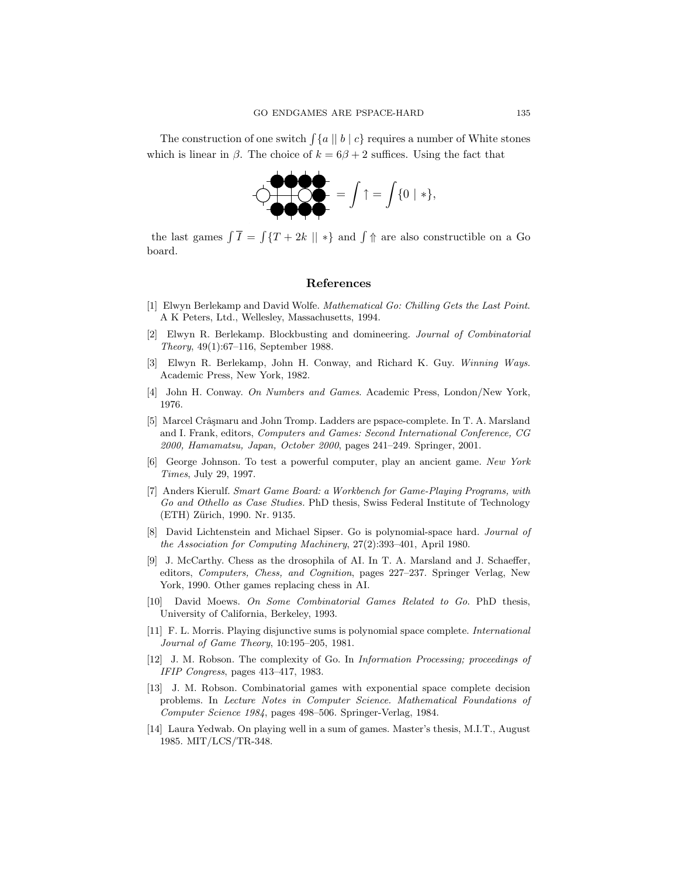The construction of one switch  $\int \{a \mid b \mid c\}$  requires a number of White stones which is linear in  $\beta$ . The choice of  $k = 6\beta + 2$  suffices. Using the fact that



the last games  $\int \overline{I} = \int \{T + 2k \mid \mid * \}$  and  $\int \Uparrow$  are also constructible on a Go board.

#### References

- [1] Elwyn Berlekamp and David Wolfe. Mathematical Go: Chilling Gets the Last Point. A K Peters, Ltd., Wellesley, Massachusetts, 1994.
- [2] Elwyn R. Berlekamp. Blockbusting and domineering. Journal of Combinatorial Theory, 49(1):67–116, September 1988.
- [3] Elwyn R. Berlekamp, John H. Conway, and Richard K. Guy. Winning Ways. Academic Press, New York, 1982.
- [4] John H. Conway. On Numbers and Games. Academic Press, London/New York, 1976.
- [5] Marcel Crâșmaru and John Tromp. Ladders are pspace-complete. In T. A. Marsland and I. Frank, editors, Computers and Games: Second International Conference, CG 2000, Hamamatsu, Japan, October 2000, pages 241–249. Springer, 2001.
- [6] George Johnson. To test a powerful computer, play an ancient game. New York Times, July 29, 1997.
- [7] Anders Kierulf. Smart Game Board: a Workbench for Game-Playing Programs, with Go and Othello as Case Studies. PhD thesis, Swiss Federal Institute of Technology (ETH) Zürich, 1990. Nr. 9135.
- [8] David Lichtenstein and Michael Sipser. Go is polynomial-space hard. Journal of the Association for Computing Machinery, 27(2):393–401, April 1980.
- [9] J. McCarthy. Chess as the drosophila of AI. In T. A. Marsland and J. Schaeffer, editors, Computers, Chess, and Cognition, pages 227–237. Springer Verlag, New York, 1990. Other games replacing chess in AI.
- [10] David Moews. On Some Combinatorial Games Related to Go. PhD thesis, University of California, Berkeley, 1993.
- [11] F. L. Morris. Playing disjunctive sums is polynomial space complete. International Journal of Game Theory, 10:195–205, 1981.
- [12] J. M. Robson. The complexity of Go. In Information Processing; proceedings of IFIP Congress, pages 413–417, 1983.
- [13] J. M. Robson. Combinatorial games with exponential space complete decision problems. In Lecture Notes in Computer Science. Mathematical Foundations of Computer Science 1984, pages 498–506. Springer-Verlag, 1984.
- [14] Laura Yedwab. On playing well in a sum of games. Master's thesis, M.I.T., August 1985. MIT/LCS/TR-348.